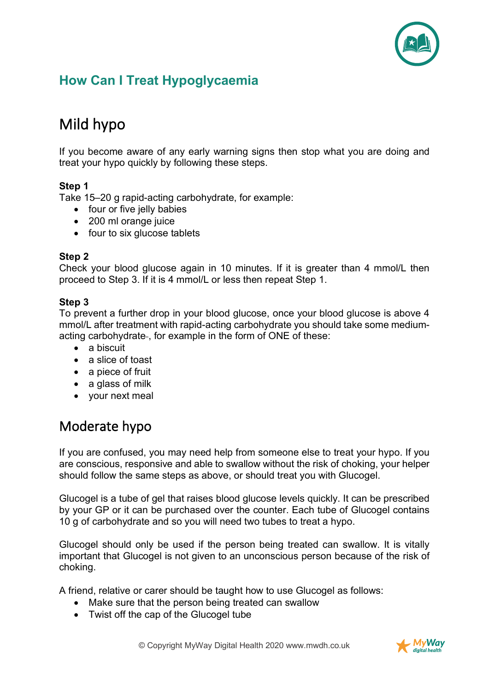

# **How Can I Treat Hypoglycaemia**

# Mild hypo

If you become aware of any early warning signs then stop what you are doing and treat your hypo quickly by following these steps.

#### **Step 1**

Take 15–20 g rapid-acting carbohydrate, for example:

- four or five jelly babies
- 200 ml orange juice
- four to six glucose tablets

#### **Step 2**

Check your blood glucose again in 10 minutes. If it is greater than 4 mmol/L then proceed to Step 3. If it is 4 mmol/L or less then repeat Step 1.

#### **Step 3**

To prevent a further drop in your blood glucose, once your blood glucose is above 4 mmol/L after treatment with rapid-acting carbohydrate you should take some mediumacting carbohydrate-, for example in the form of ONE of these:

- a biscuit
- a slice of toast
- a piece of fruit
- a glass of milk
- your next meal

### Moderate hypo

If you are confused, you may need help from someone else to treat your hypo. If you are conscious, responsive and able to swallow without the risk of choking, your helper should follow the same steps as above, or should treat you with Glucogel.

Glucogel is a tube of gel that raises blood glucose levels quickly. It can be prescribed by your GP or it can be purchased over the counter. Each tube of Glucogel contains 10 g of carbohydrate and so you will need two tubes to treat a hypo.

Glucogel should only be used if the person being treated can swallow. It is vitally important that Glucogel is not given to an unconscious person because of the risk of choking.

A friend, relative or carer should be taught how to use Glucogel as follows:

- Make sure that the person being treated can swallow
- Twist off the cap of the Glucogel tube

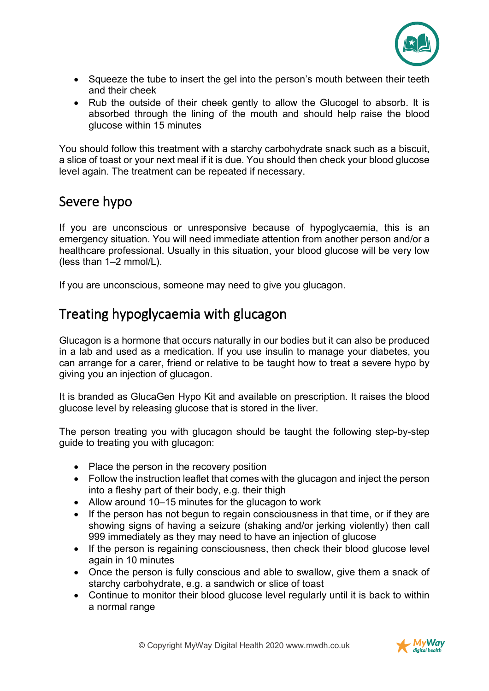

- Squeeze the tube to insert the gel into the person's mouth between their teeth and their cheek
- Rub the outside of their cheek gently to allow the Glucogel to absorb. It is absorbed through the lining of the mouth and should help raise the blood glucose within 15 minutes

You should follow this treatment with a starchy carbohydrate snack such as a biscuit, a slice of toast or your next meal if it is due. You should then check your blood glucose level again. The treatment can be repeated if necessary.

# Severe hypo

If you are unconscious or unresponsive because of hypoglycaemia, this is an emergency situation. You will need immediate attention from another person and/or a healthcare professional. Usually in this situation, your blood glucose will be very low (less than 1–2 mmol/L).

If you are unconscious, someone may need to give you glucagon.

### Treating hypoglycaemia with glucagon

Glucagon is a hormone that occurs naturally in our bodies but it can also be produced in a lab and used as a medication. If you use insulin to manage your diabetes, you can arrange for a carer, friend or relative to be taught how to treat a severe hypo by giving you an injection of glucagon.

It is branded as GlucaGen Hypo Kit and available on prescription. It raises the blood glucose level by releasing glucose that is stored in the liver.

The person treating you with glucagon should be taught the following step-by-step guide to treating you with glucagon:

- Place the person in the recovery position
- Follow the instruction leaflet that comes with the glucagon and inject the person into a fleshy part of their body, e.g. their thigh
- Allow around 10–15 minutes for the glucagon to work
- If the person has not begun to regain consciousness in that time, or if they are showing signs of having a seizure (shaking and/or jerking violently) then call 999 immediately as they may need to have an injection of glucose
- If the person is regaining consciousness, then check their blood glucose level again in 10 minutes
- Once the person is fully conscious and able to swallow, give them a snack of starchy carbohydrate, e.g. a sandwich or slice of toast
- Continue to monitor their blood glucose level regularly until it is back to within a normal range